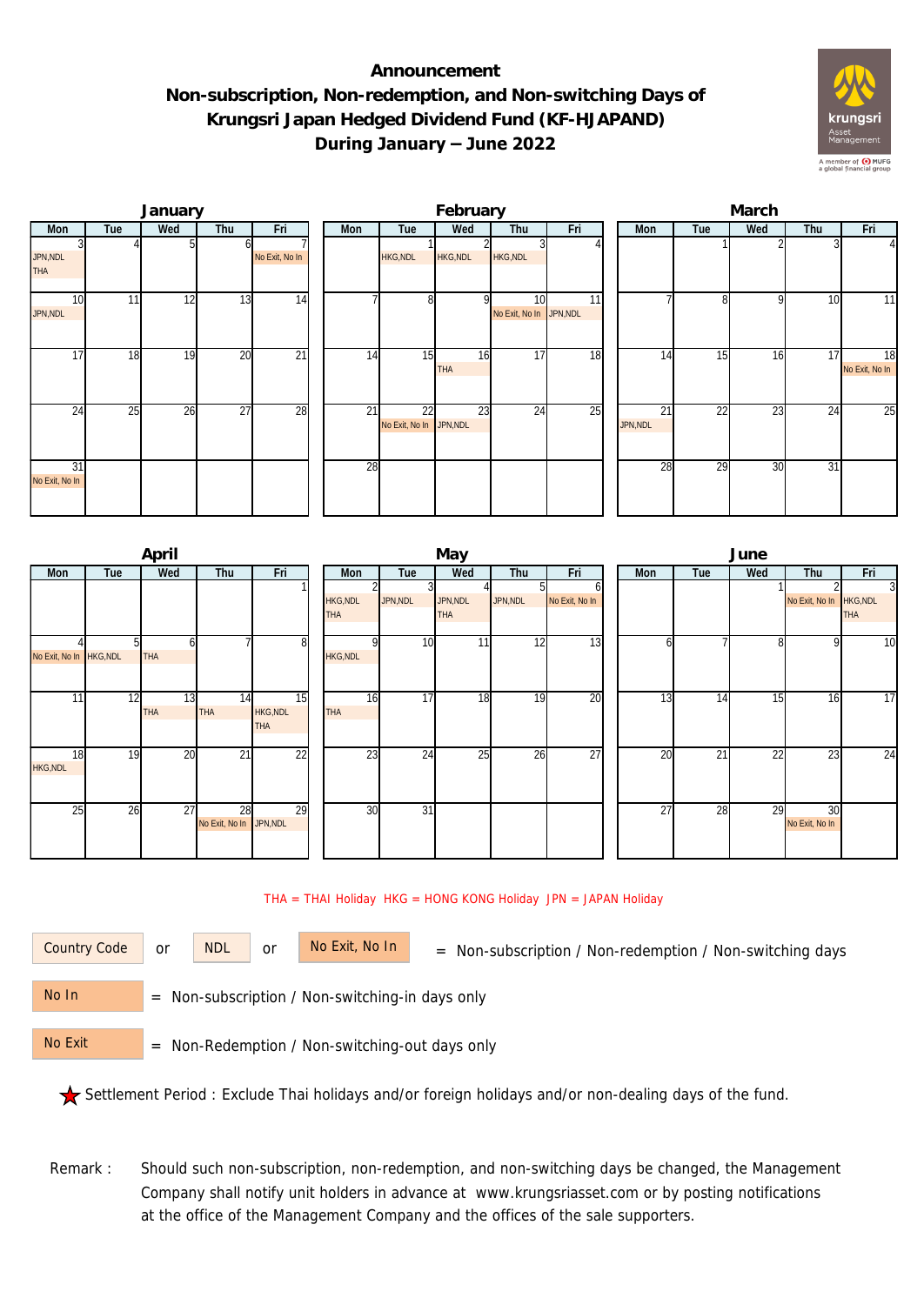## **Announcement Non-subscription, Non-redemption, and Non-switching Days of Krungsri Japan Hedged Dividend Fund (KF-HJAPAND) During January – June 2022**



|                        |     | January |                 |                 | February |                               |                  |                               |     |  | March          |     |              |                 |                      |  |  |
|------------------------|-----|---------|-----------------|-----------------|----------|-------------------------------|------------------|-------------------------------|-----|--|----------------|-----|--------------|-----------------|----------------------|--|--|
| Mon                    | Tue | Wed     | Thu             | Fri             | Mon      | Tue                           | Wed              | Thu                           | Fri |  | Mon            | Tue | Wed          | Thu             | Fri                  |  |  |
| JPN, NDL<br><b>THA</b> |     |         |                 | No Exit, No In  |          | <b>HKG, NDL</b>               | HKG, NDL         | HKG, NDL                      |     |  |                |     |              |                 | 41                   |  |  |
| 10<br>JPN, NDL         | 11  | 12      | $1\overline{3}$ | 14              |          | 8 <sup>1</sup>                | οI               | 10<br>No Exit, No In JPN, NDL | 11  |  |                | 81  | $\mathsf{Q}$ | 10              | 11                   |  |  |
| 17                     | 18  | 19      | 20              | $\overline{21}$ | 14       | 15                            | 16<br><b>THA</b> | 17                            | 18  |  | 14             | 15  | 16           | 17 <sub>l</sub> | 18<br>No Exit, No In |  |  |
| 24                     | 25  | 26      | $\overline{27}$ | 28              | 21       | 22<br>No Exit, No In JPN, NDL | 23               | $2\overline{4}$               | 25  |  | 21<br>JPN, NDL | 22  | 23           | 24              | 25                   |  |  |
| 31<br>No Exit, No In   |     |         |                 |                 | 28       |                               |                  |                               |     |  | 28             | 29  | 30           | $\overline{31}$ |                      |  |  |

|                         |     | April            |                               |                                     |                               | June            |                        |          |                 |     |     |    |                 |                         |                 |
|-------------------------|-----|------------------|-------------------------------|-------------------------------------|-------------------------------|-----------------|------------------------|----------|-----------------|-----|-----|----|-----------------|-------------------------|-----------------|
| Mon                     | Tue | Wed              | Thu                           | Fri                                 | Mon                           | Tue             | Wed                    | Thu      | Fri             | Mon | Tue |    | Wed             | Thu                     | Fri             |
|                         |     |                  |                               |                                     | <b>HKG, NDL</b><br><b>THA</b> | JPN, NDL        | JPN, NDL<br><b>THA</b> | JPN, NDL | No Exit, No In  |     |     |    |                 | No Exit, No In HKG, NDL | 3<br><b>THA</b> |
| No Exit, No In HKG, NDL |     | <b>THA</b>       |                               | 8                                   | <b>HKG, NDL</b>               | 10              | 11                     | 12       | 13              |     |     |    |                 | 9                       | 10              |
| 11                      | 12  | 13<br><b>THA</b> | 14<br><b>THA</b>              | 15<br><b>HKG, NDL</b><br><b>THA</b> | 16<br><b>THA</b>              | 17              | 18                     | 19       | 20              |     | 13  | 14 | 15 <sub>1</sub> | 16                      | 17              |
| 18<br><b>HKG, NDL</b>   | 19  | 20               | $\overline{21}$               | $\overline{22}$                     | 23                            | 24              | 25                     | 26       | $\overline{27}$ |     | 20  | 21 | 22              | 23                      | 24              |
| 25                      | 26  | 27               | 28<br>No Exit, No In JPN, NDL | 29                                  | 30                            | $\overline{31}$ |                        |          |                 |     | 27  | 28 | 29              | 30<br>No Exit, No In    |                 |

## THA = THAI Holiday HKG = HONG KONG Holiday JPN = JAPAN Holiday

or NDL or

Country Code or NDL or No Exit, No In = Non-subscription / Non-redemption / Non-switching days

 = Non-subscription / Non-switching-in days only No In

 = Non-Redemption / Non-switching-out days only No Exit

Settlement Period : Exclude Thai holidays and/or foreign holidays and/or non-dealing days of the fund.

Remark : Should such non-subscription, non-redemption, and non-switching days be changed, the Management Company shall notify unit holders in advance at www.krungsriasset.com or by posting notifications at the office of the Management Company and the offices of the sale supporters.